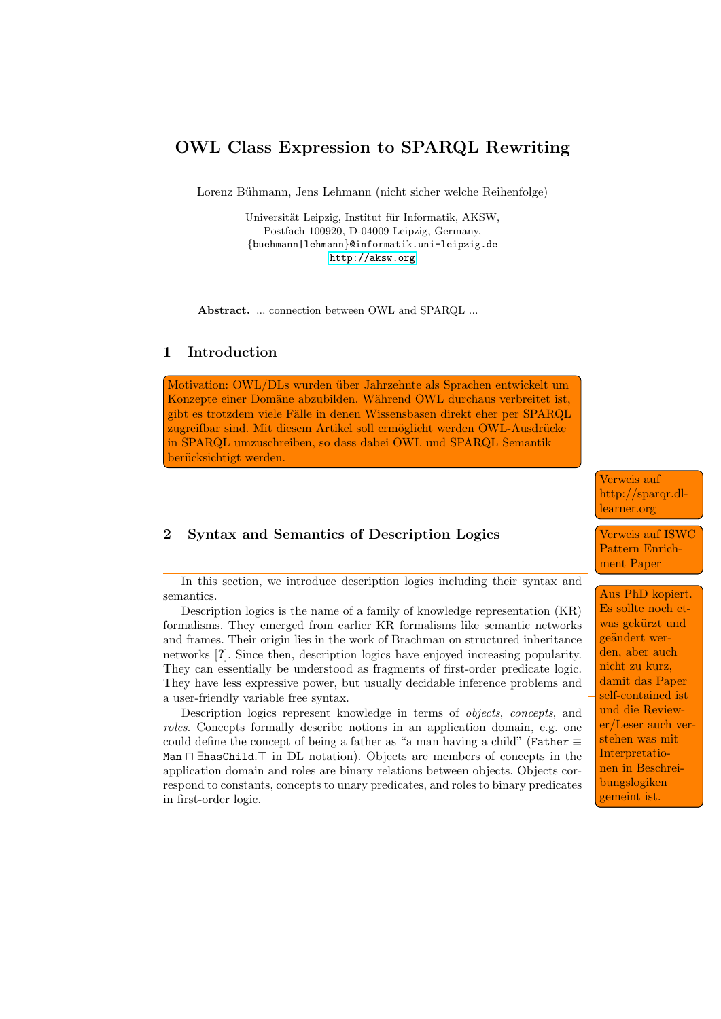# OWL Class Expression to SPARQL Rewriting

Lorenz Bühmann, Jens Lehmann (nicht sicher welche Reihenfolge)

Universität Leipzig, Institut für Informatik, AKSW, Postfach 100920, D-04009 Leipzig, Germany, {buehmann|lehmann}@informatik.uni-leipzig.de <http://aksw.org>

Abstract. ... connection between OWL and SPARQL ...

### 1 Introduction

Motivation: OWL/DLs wurden über Jahrzehnte als Sprachen entwickelt um Konzepte einer Domäne abzubilden. Während OWL durchaus verbreitet ist, gibt es trotzdem viele Fälle in denen Wissensbasen direkt eher per SPARQL zugreifbar sind. Mit diesem Artikel soll ermöglicht werden OWL-Ausdrücke in SPARQL umzuschreiben, so dass dabei OWL und SPARQL Semantik berücksichtigt werden.

### 2 Syntax and Semantics of Description Logics

In this section, we introduce description logics including their syntax and semantics.

Description logics is the name of a family of knowledge representation (KR) formalisms. They emerged from earlier KR formalisms like semantic networks and frames. Their origin lies in the work of Brachman on structured inheritance networks [?]. Since then, description logics have enjoyed increasing popularity. They can essentially be understood as fragments of first-order predicate logic. They have less expressive power, but usually decidable inference problems and a user-friendly variable free syntax.

Description logics represent knowledge in terms of objects, concepts, and roles. Concepts formally describe notions in an application domain, e.g. one could define the concept of being a father as "a man having a child" (Father  $\equiv$ Man  $\Box$  ∃hasChild. $\top$  in DL notation). Objects are members of concepts in the application domain and roles are binary relations between objects. Objects correspond to constants, concepts to unary predicates, and roles to binary predicates in first-order logic.

Verweis auf http://sparqr.dllearner.org

Verweis auf ISWC Pattern Enrichment Paper

Aus PhD kopiert. Es sollte noch etwas gekürzt und geändert werden, aber auch nicht zu kurz, damit das Paper self-contained ist und die Reviewer/Leser auch verstehen was mit Interpretationen in Beschreibungslogiken gemeint ist.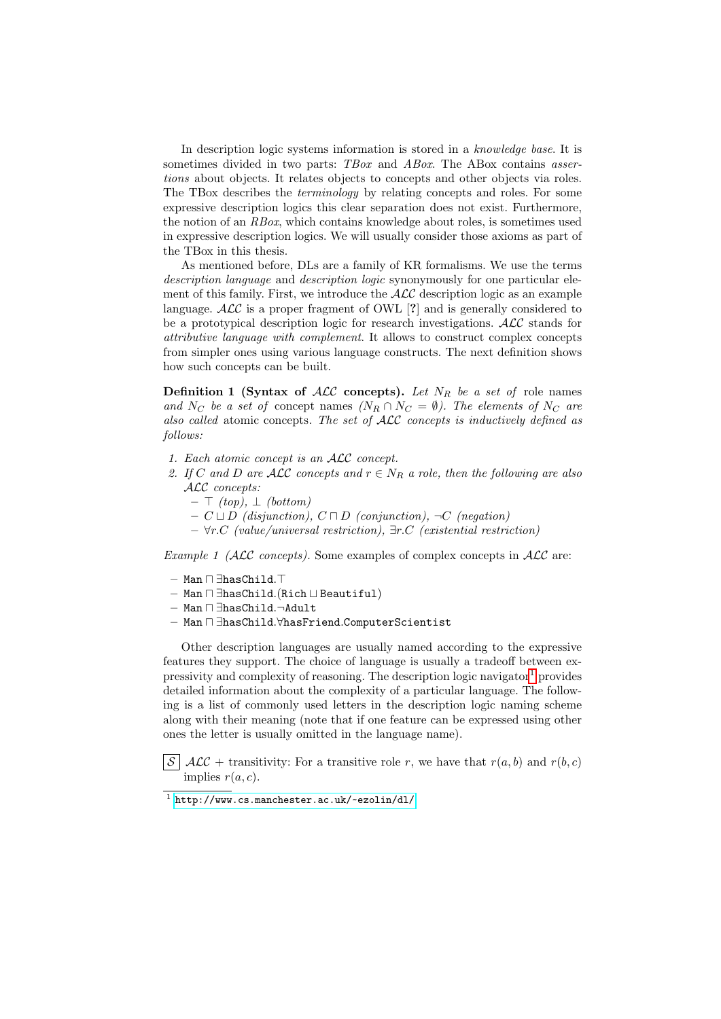In description logic systems information is stored in a knowledge base. It is sometimes divided in two parts: TBox and ABox. The ABox contains assertions about objects. It relates objects to concepts and other objects via roles. The TBox describes the terminology by relating concepts and roles. For some expressive description logics this clear separation does not exist. Furthermore, the notion of an RBox, which contains knowledge about roles, is sometimes used in expressive description logics. We will usually consider those axioms as part of the TBox in this thesis.

As mentioned before, DLs are a family of KR formalisms. We use the terms description language and description logic synonymously for one particular element of this family. First, we introduce the  $\mathcal{ALC}$  description logic as an example language.  $\angle$ ALC is a proper fragment of OWL [?] and is generally considered to be a prototypical description logic for research investigations. ALC stands for attributive language with complement. It allows to construct complex concepts from simpler ones using various language constructs. The next definition shows how such concepts can be built.

**Definition 1 (Syntax of ALC concepts).** Let  $N_R$  be a set of role names and N<sub>C</sub> be a set of concept names (N<sub>R</sub> ∩ N<sub>C</sub> =  $\emptyset$ ). The elements of N<sub>C</sub> are also called atomic concepts. The set of ALC concepts is inductively defined as follows:

- 1. Each atomic concept is an ALC concept.
- 2. If C and D are ALC concepts and  $r \in N_R$  a role, then the following are also ALC concepts:
	- $\top$  (top),  $\bot$  (bottom)
	- $C \sqcup D$  (disjunction),  $C \sqcap D$  (conjunction),  $\neg C$  (negation)
	- ∀r.C (value/universal restriction), ∃r.C (existential restriction)

*Example 1 (ALC concepts)*. Some examples of complex concepts in  $\mathcal{ALC}$  are:

- $-$  Man  $\Box$  ∃hasChild. $\top$
- $-$  Man  $\Box$   $\exists$ hasChild.(Rich  $\Box$  Beautiful)
- Man u ∃hasChild.¬Adult
- Man  $\sqcap$  ∃hasChild. $\forall$ hasFriend.ComputerScientist

Other description languages are usually named according to the expressive features they support. The choice of language is usually a tradeoff between ex-pressivity and complexity of reasoning. The description logic navigator<sup>[1](#page-1-0)</sup> provides detailed information about the complexity of a particular language. The following is a list of commonly used letters in the description logic naming scheme along with their meaning (note that if one feature can be expressed using other ones the letter is usually omitted in the language name).

 $\mathcal{S}$  ALC + transitivity: For a transitive role r, we have that  $r(a, b)$  and  $r(b, c)$ implies  $r(a, c)$ .

<span id="page-1-0"></span><sup>1</sup> <http://www.cs.manchester.ac.uk/~ezolin/dl/>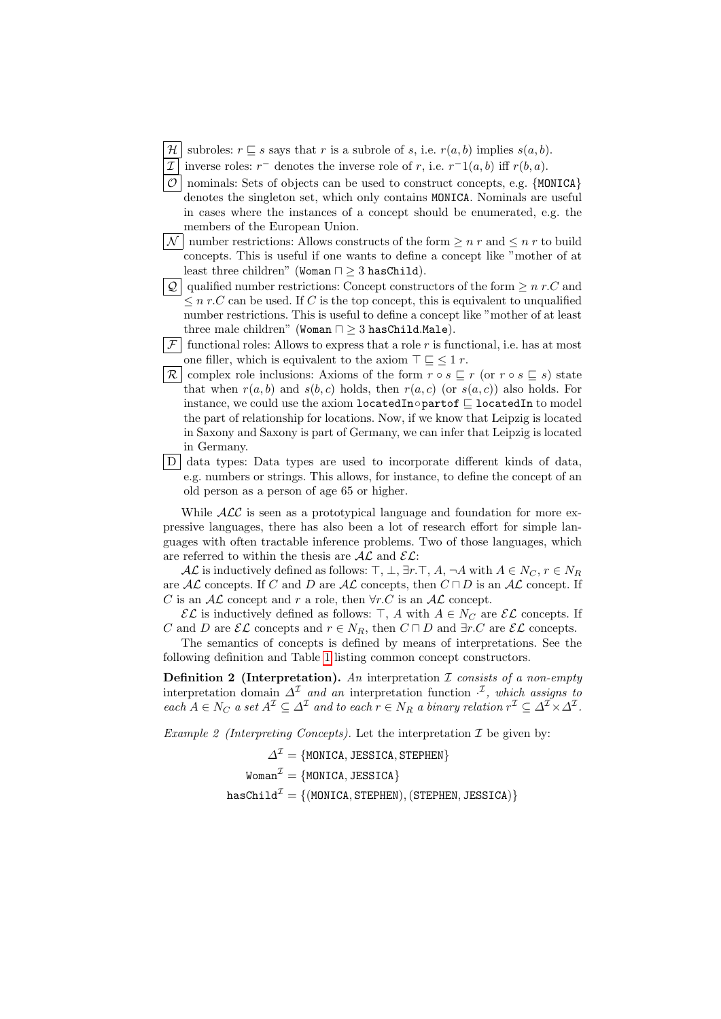- $\mathcal{H}$  subroles:  $r \sqsubseteq s$  says that r is a subrole of s, i.e.  $r(a, b)$  implies  $s(a, b)$ .
- I inverse roles:  $r^-$  denotes the inverse role of r, i.e.  $r^{-1}(a, b)$  iff  $r(b, a)$ .
- $\mathcal{O}$  nominals: Sets of objects can be used to construct concepts, e.g. {MONICA} denotes the singleton set, which only contains MONICA. Nominals are useful in cases where the instances of a concept should be enumerated, e.g. the members of the European Union.
- $\mathcal{N}$  number restrictions: Allows constructs of the form  $\geq n$  r and  $\leq n$  r to build concepts. This is useful if one wants to define a concept like "mother of at least three children" (Woman  $\sqcap \geq 3$  hasChild).
- Q qualified number restrictions: Concept constructors of the form  $\geq n r.C$  and  $\leq n r.C$  can be used. If C is the top concept, this is equivalent to unqualified number restrictions. This is useful to define a concept like "mother of at least three male children" (Woman  $\sqcap \geq 3$  has Child.Male).
- $|\mathcal{F}|$  functional roles: Allows to express that a role r is functional, i.e. has at most one filler, which is equivalent to the axiom  $\top \sqsubseteq \leq 1$  r.
- $\mathcal{R}$  complex role inclusions: Axioms of the form  $r \circ s \sqsubseteq r$  (or  $r \circ s \sqsubseteq s$ ) state that when  $r(a, b)$  and  $s(b, c)$  holds, then  $r(a, c)$  (or  $s(a, c)$ ) also holds. For instance, we could use the axiom locatedIn∘partof  $\sqsubseteq$  locatedIn to model the part of relationship for locations. Now, if we know that Leipzig is located in Saxony and Saxony is part of Germany, we can infer that Leipzig is located in Germany.
- $\vert D \vert$  data types: Data types are used to incorporate different kinds of data. e.g. numbers or strings. This allows, for instance, to define the concept of an old person as a person of age 65 or higher.

While  $ALC$  is seen as a prototypical language and foundation for more expressive languages, there has also been a lot of research effort for simple languages with often tractable inference problems. Two of those languages, which are referred to within the thesis are  $A\mathcal{L}$  and  $\mathcal{EL}$ :

AL is inductively defined as follows:  $\top$ ,  $\bot$ ,  $\exists r \cdot \top$ ,  $A$ ,  $\neg A$  with  $A \in N_C$ ,  $r \in N_R$ are  $A\mathcal{L}$  concepts. If C and D are  $A\mathcal{L}$  concepts, then  $C \sqcap D$  is an  $A\mathcal{L}$  concept. If C is an  $\mathcal{AL}$  concept and r a role, then  $\forall r.C$  is an  $\mathcal{AL}$  concept.

 $\mathcal{EL}$  is inductively defined as follows:  $\top$ , A with  $A \in N_C$  are  $\mathcal{EL}$  concepts. If C and D are  $\mathcal{EL}$  concepts and  $r \in N_R$ , then  $C \sqcap D$  and  $\exists r.C$  are  $\mathcal{EL}$  concepts.

The semantics of concepts is defined by means of interpretations. See the following definition and Table [1](#page-3-0) listing common concept constructors.

**Definition 2** (Interpretation). An interpretation  $\mathcal I$  consists of a non-empty interpretation domain  $\Delta^{\mathcal{I}}$  and an interpretation function  $\cdot^{\mathcal{I}}$ , which assigns to  $\emph{each } A \in N_C \emph{ a set } A^{\mathcal{I}} \subseteq \Delta^{\mathcal{I}} \emph{ and to each } r \in N_R \emph{ a binary relation } r^{\mathcal{I}} \subseteq \Delta^{\mathcal{I}} \times \Delta^{\mathcal{I}}.$ 

Example 2 (Interpreting Concepts). Let the interpretation  $\mathcal I$  be given by:

 $\Delta^{\mathcal{I}} = \{\texttt{MONICA}, \texttt{JESSICA}, \texttt{STEPHEN}\}$  $Woman^{\mathcal{I}} = \{MONICA, JESSICA\}$  $hasChild^{\mathcal{I}} = \{ (MONICA, STEPHEN), (STEPHEN, JESSICA) \}$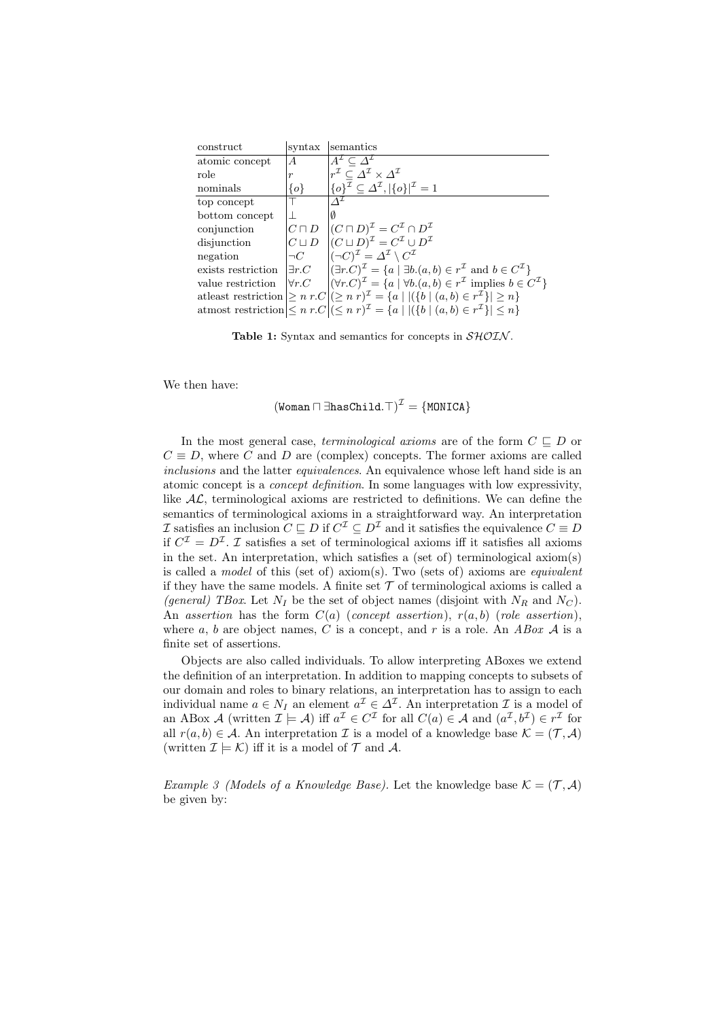<span id="page-3-0"></span>

| construct          | syntax           | semantics                                                                                                                                  |
|--------------------|------------------|--------------------------------------------------------------------------------------------------------------------------------------------|
| atomic concept     | A                | $A^{\mathcal{I}} \subset \Delta^{\mathcal{I}}$                                                                                             |
| role               | $\boldsymbol{r}$ | $r^{\mathcal{I}} \subset \varDelta^{\mathcal{I}} \times \varDelta^{\mathcal{I}}$                                                           |
| nominals           | $\{o\}$          | $\{o\}^{\mathcal{I}} \subseteq \Delta^{\mathcal{I}},  \{o\} ^{\mathcal{I}} = 1$                                                            |
| top concept        |                  |                                                                                                                                            |
| bottom concept     |                  | 0                                                                                                                                          |
| conjunction        | $C\sqcap D$      | $(C \sqcap D)^{\mathcal{I}} = C^{\mathcal{I}} \cap D^{\mathcal{I}}$                                                                        |
| disjunction        |                  | $C \sqcup D$ $\left  (C \sqcup D)^{\mathcal{I}} \right  = C^{\mathcal{I}} \cup D^{\mathcal{I}}$                                            |
| negation           |                  | $\neg C$ $\left  (\neg C)^{\mathcal{I}} = \Delta^{\mathcal{I}} \setminus C^{\mathcal{I}} \right $                                          |
| exists restriction |                  | $\exists r.C \quad  (\exists r.C)^{\mathcal{I}} = \{a \mid \exists b.(a,b) \in r^{\mathcal{I}} \text{ and } b \in C^{\mathcal{I}}\}\$      |
| value restriction  |                  | $\forall r.C \quad  (\forall r.C)^{\mathcal{I}} = \{a \mid \forall b.(a, b) \in r^{\mathcal{I}} \text{ implies } b \in C^{\mathcal{I}}\}\$ |
|                    |                  | at least restriction $\geq n r.C \mid (\geq n r)^{\mathcal{I}} = \{a \mid  (\{b \mid (a,b) \in r^{\mathcal{I}}\}  \geq n\}$                |
|                    |                  | atmost restriction $\leq n r.C \leq n r$ <sup>T</sup> $= \{a \mid  (\{b \mid (a,b) \in r^T\}  \leq n\}$                                    |

Table 1: Syntax and semantics for concepts in  $\mathcal{SHOLN}$ .

We then have:

$$
(\mathtt{Woman} \sqcap \exists \mathtt{hasChild}.\top)^\mathcal{I} = \{\mathtt{MONICA}\}
$$

In the most general case, terminological axioms are of the form  $C \subseteq D$  or  $C \equiv D$ , where C and D are (complex) concepts. The former axioms are called inclusions and the latter equivalences. An equivalence whose left hand side is an atomic concept is a concept definition. In some languages with low expressivity, like  $AL$ , terminological axioms are restricted to definitions. We can define the semantics of terminological axioms in a straightforward way. An interpretation *I* satisfies an inclusion  $C \subseteq D$  if  $C^{\mathcal{I}} \subseteq D^{\mathcal{I}}$  and it satisfies the equivalence  $C \equiv D$ if  $C^{\mathcal{I}} = D^{\mathcal{I}}$ .  $\mathcal{I}$  satisfies a set of terminological axioms iff it satisfies all axioms in the set. An interpretation, which satisfies a (set of) terminological axiom(s) is called a *model* of this (set of) axiom(s). Two (sets of) axioms are *equivalent* if they have the same models. A finite set  $\mathcal T$  of terminological axioms is called a (general) TBox. Let  $N_I$  be the set of object names (disjoint with  $N_R$  and  $N_C$ ). An assertion has the form  $C(a)$  (concept assertion),  $r(a, b)$  (role assertion), where a, b are object names, C is a concept, and r is a role. An ABox  $A$  is a finite set of assertions.

Objects are also called individuals. To allow interpreting ABoxes we extend the definition of an interpretation. In addition to mapping concepts to subsets of our domain and roles to binary relations, an interpretation has to assign to each individual name  $a \in N_I$  an element  $a^{\mathcal{I}} \in \Delta^{\mathcal{I}}$ . An interpretation  $\mathcal{I}$  is a model of an ABox A (written  $\mathcal{I} \models \mathcal{A}$ ) iff  $a^{\mathcal{I}} \in C^{\mathcal{I}}$  for all  $C(a) \in \mathcal{A}$  and  $(a^{\mathcal{I}}, b^{\mathcal{I}}) \in r^{\mathcal{I}}$  for all  $r(a, b) \in \mathcal{A}$ . An interpretation  $\mathcal I$  is a model of a knowledge base  $\mathcal K = (\mathcal T, \mathcal A)$ (written  $\mathcal{I} \models \mathcal{K}$ ) iff it is a model of  $\mathcal{T}$  and  $\mathcal{A}$ .

<span id="page-3-1"></span>*Example 3 (Models of a Knowledge Base)*. Let the knowledge base  $\mathcal{K} = (\mathcal{T}, \mathcal{A})$ be given by: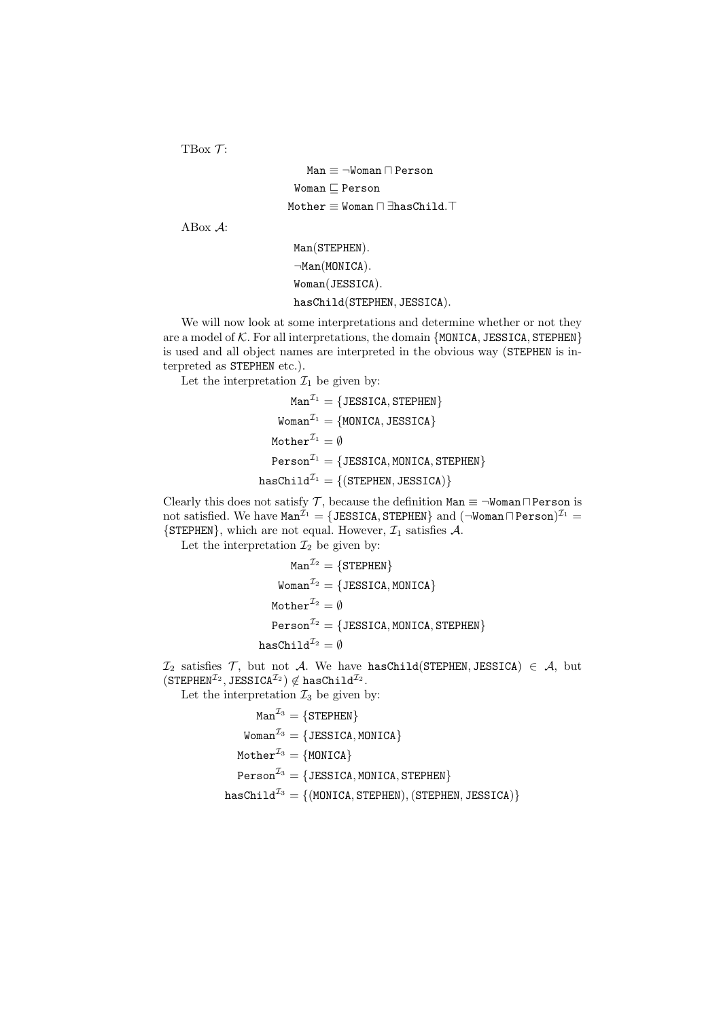TBox  $\mathcal{T}$ :

Man  $\equiv \neg$ Woman  $\sqcap$  Person  $W$ oman  $\sqsubseteq$  Person  $Mother \equiv Woman \sqcap \exists hasChild.$ 

ABox A:

```
Man(STEPHEN).
\negMan(MONICA).
Woman(JESSICA).
hasChild(STEPHEN, JESSICA).
```
We will now look at some interpretations and determine whether or not they are a model of  $K$ . For all interpretations, the domain {MONICA, JESSICA, STEPHEN} is used and all object names are interpreted in the obvious way (STEPHEN is interpreted as STEPHEN etc.).

Let the interpretation  $\mathcal{I}_1$  be given by:

$$
Man^{\mathcal{I}_1} = \{ J \text{ESSICA}, \text{STEPHEN} \}
$$
\n
$$
Woman^{\mathcal{I}_1} = \{ MONICA, J \text{ESSICA} \}
$$
\n
$$
Mother^{\mathcal{I}_1} = \emptyset
$$
\n
$$
Person^{\mathcal{I}_1} = \{ J \text{ESSICA}, MONICA, STEPHEN \}
$$
\n
$$
hasChild^{\mathcal{I}_1} = \{ (STEPHEN, J \text{ESSICA}) \}
$$

Clearly this does not satisfy  $\mathcal T$ , because the definition  $\texttt{Man} \equiv \neg \texttt{Woman} \sqcap \texttt{Person}$  is not satisfied. We have  $\texttt{Man}^{\mathcal{I}_1} = \{\texttt{JESSICA}, \texttt{STEPHEN}\}$  and  $(\neg \texttt{Woman}\sqcap \texttt{Person})^{\mathcal{I}_1} =$  $\{$  STEPHEN $\}$ , which are not equal. However,  $\mathcal{I}_1$  satisfies  $\mathcal{A}$ .

Let the interpretation  $\mathcal{I}_2$  be given by:

$$
Man^{\mathcal{I}_2} = \{ \text{STERPER} \}
$$
\n
$$
Woman^{\mathcal{I}_2} = \{ \text{JESSICA}, \text{MONICA} \}
$$
\n
$$
\text{Mother}^{\mathcal{I}_2} = \emptyset
$$
\n
$$
\text{Person}^{\mathcal{I}_2} = \{ \text{JESSICA}, \text{MONICA}, \text{STEPHEN} \}
$$
\n
$$
\text{hasChild}^{\mathcal{I}_2} = \emptyset
$$

 $\mathcal{I}_2$  satisfies  $\mathcal{T}$ , but not  $\mathcal{A}$ . We have hasChild(STEPHEN, JESSICA)  $\in \mathcal{A}$ , but  $(\mathtt{STEPHEN}^{\mathcal{I}_2},\mathtt{JESSICA}^{\mathcal{I}_2})\not\in \mathtt{hasChild}^{\mathcal{I}_2}.$ 

Let the interpretation  $\mathcal{I}_3$  be given by:

```
Man^{\mathcal{I}_3} = \{STEPHEN\}Woman^{\mathcal{I}_3} = \{JESSICA, MONICA\}\text{Mother}^{\mathcal{I}_3} = \{\text{MONICA}\}\Person^{\mathcal{I}_3} = \{ JESSICA, MONICA, STEPHEN \}hasChild^{\mathcal{I}_3} = \{(MONICA, STEPHEN), (STEPHEN, JESSICA)\}
```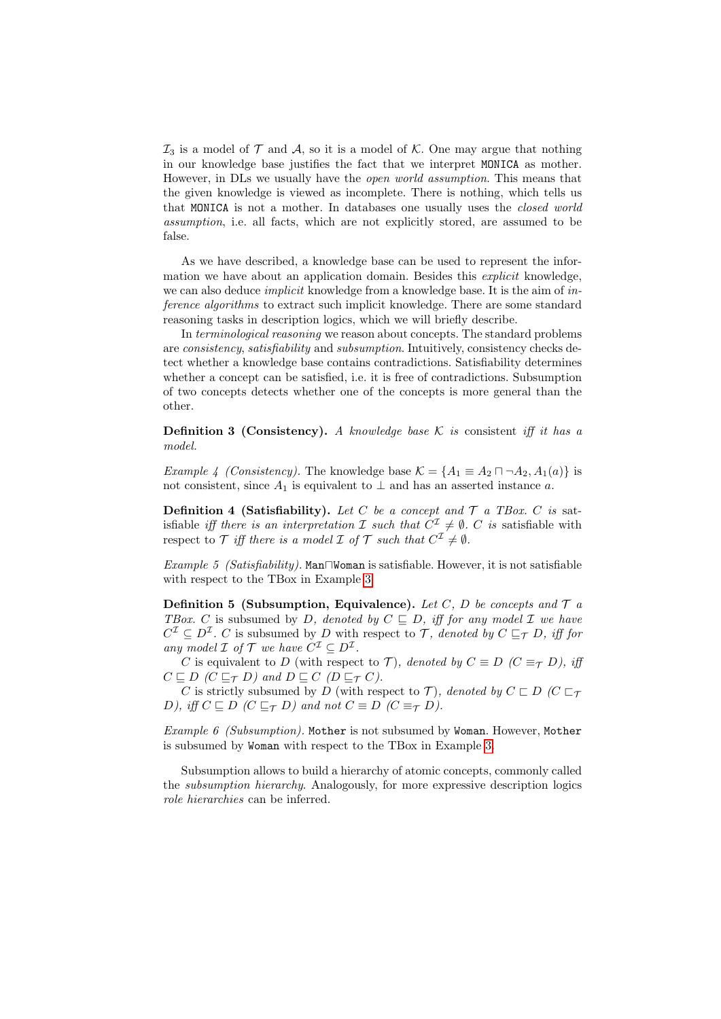$\mathcal{I}_3$  is a model of  $\mathcal T$  and  $\mathcal A$ , so it is a model of  $\mathcal K$ . One may argue that nothing in our knowledge base justifies the fact that we interpret MONICA as mother. However, in DLs we usually have the open world assumption. This means that the given knowledge is viewed as incomplete. There is nothing, which tells us that MONICA is not a mother. In databases one usually uses the closed world assumption, i.e. all facts, which are not explicitly stored, are assumed to be false.

As we have described, a knowledge base can be used to represent the information we have about an application domain. Besides this *explicit* knowledge, we can also deduce *implicit* knowledge from a knowledge base. It is the aim of *in*ference algorithms to extract such implicit knowledge. There are some standard reasoning tasks in description logics, which we will briefly describe.

In terminological reasoning we reason about concepts. The standard problems are consistency, satisfiability and subsumption. Intuitively, consistency checks detect whether a knowledge base contains contradictions. Satisfiability determines whether a concept can be satisfied, i.e. it is free of contradictions. Subsumption of two concepts detects whether one of the concepts is more general than the other.

**Definition 3 (Consistency).** A knowledge base K is consistent iff it has a model.

Example 4 (Consistency). The knowledge base  $\mathcal{K} = \{A_1 \equiv A_2 \sqcap \neg A_2, A_1(a)\}\$ is not consistent, since  $A_1$  is equivalent to  $\perp$  and has an asserted instance a.

**Definition 4 (Satisfiability).** Let C be a concept and  $\mathcal{T}$  a TBox. C is satisfiable *iff there is an interpretation*  $\mathcal I$  such that  $C^{\mathcal I} \neq \emptyset$ . C is satisfiable with respect to T iff there is a model I of T such that  $C^{\mathcal{I}} \neq \emptyset$ .

Example 5 (Satisfiability). Man $\neg$ Woman is satisfiable. However, it is not satisfiable with respect to the TBox in Example [3.](#page-3-1)

**Definition 5 (Subsumption, Equivalence).** Let C, D be concepts and  $\mathcal{T}$  a TBox. C is subsumed by D, denoted by  $C \subseteq D$ , iff for any model  $\mathcal I$  we have  $C^{\mathcal{I}} \subseteq D^{\mathcal{I}}$ . C is subsumed by D with respect to T, denoted by  $C \subseteq_{\mathcal{T}} D$ , iff for any model  $\mathcal I$  of  $\mathcal T$  we have  $C^{\mathcal I} \subseteq D^{\mathcal I}$ .

C is equivalent to D (with respect to T), denoted by  $C \equiv D \ (C \equiv_{\mathcal{T}} D)$ , iff  $C \sqsubseteq D$  ( $C \sqsubseteq_{\mathcal{T}} D$ ) and  $D \sqsubseteq C$  ( $D \sqsubseteq_{\mathcal{T}} C$ ).

C is strictly subsumed by D (with respect to T), denoted by  $C \sqsubset D$   $(C \sqsubset_{\mathcal{T}}$ D), iff  $C \sqsubseteq D$  ( $C \sqsubseteq_{\mathcal{T}} D$ ) and not  $C \equiv D$  ( $C \equiv_{\mathcal{T}} D$ ).

Example 6 (Subsumption). Mother is not subsumed by Woman. However, Mother is subsumed by Woman with respect to the TBox in Example [3.](#page-3-1)

Subsumption allows to build a hierarchy of atomic concepts, commonly called the subsumption hierarchy. Analogously, for more expressive description logics role hierarchies can be inferred.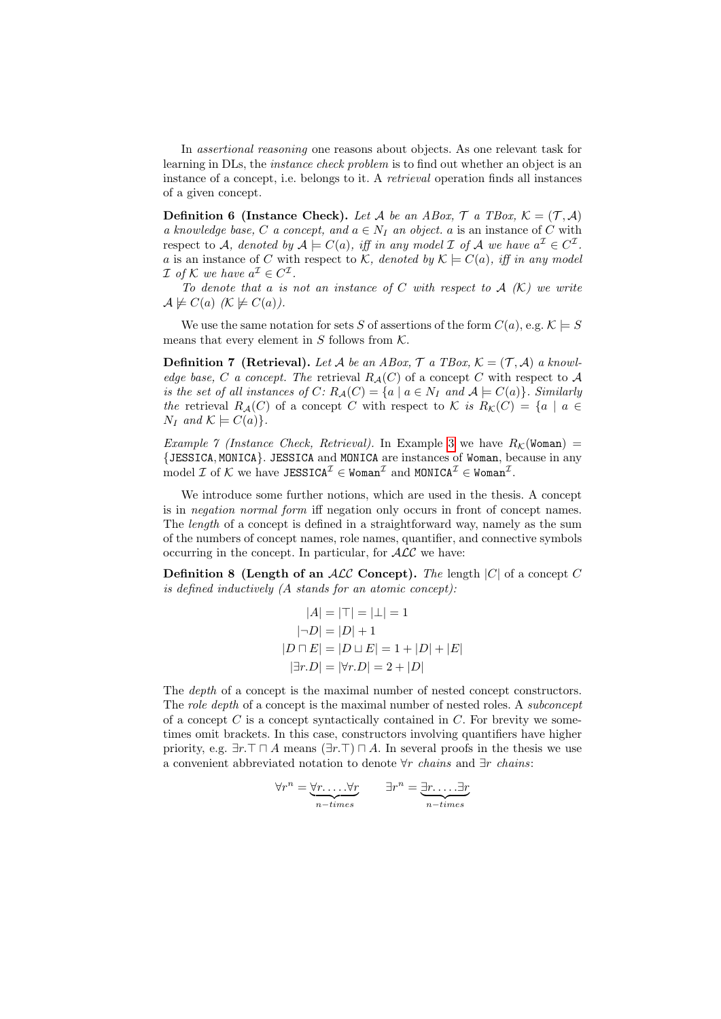In assertional reasoning one reasons about objects. As one relevant task for learning in DLs, the instance check problem is to find out whether an object is an instance of a concept, i.e. belongs to it. A retrieval operation finds all instances of a given concept.

**Definition 6 (Instance Check).** Let A be an ABox,  $\mathcal{T}$  a TBox,  $\mathcal{K} = (\mathcal{T}, \mathcal{A})$ a knowledge base, C a concept, and  $a \in N_I$  an object. a is an instance of C with respect to A, denoted by  $A \models C(a)$ , iff in any model I of A we have  $a^{\mathcal{I}} \in C^{\mathcal{I}}$ . a is an instance of C with respect to  $K$ , denoted by  $K \models C(a)$ , iff in any model *I* of *K* we have  $a^{\mathcal{I}} \in C^{\mathcal{I}}$ .

To denote that a is not an instance of C with respect to  $A(K)$  we write  $\mathcal{A} \not\models C(a)$   $(\mathcal{K} \not\models C(a))$ .

We use the same notation for sets S of assertions of the form  $C(a)$ , e.g.  $\mathcal{K} \models S$ means that every element in  $S$  follows from  $K$ .

**Definition 7** (Retrieval). Let A be an ABox,  $\mathcal{T}$  a TBox,  $\mathcal{K} = (\mathcal{T}, \mathcal{A})$  a knowledge base, C a concept. The retrieval  $R_A(C)$  of a concept C with respect to A is the set of all instances of  $C: R_{\mathcal{A}}(C) = \{a \mid a \in N_I \text{ and } A \models C(a)\}.$  Similarly the retrieval  $R_{\mathcal{A}}(C)$  of a concept C with respect to K is  $R_{\mathcal{K}}(C) = \{a \mid a \in$  $N_I$  and  $K \models C(a)$ .

Example 7 (Instance Check, Retrieval). In Example [3](#page-3-1) we have  $R_K(\text{Woman}) =$ {JESSICA, MONICA}. JESSICA and MONICA are instances of Woman, because in any  $\text{model } \mathcal{I} \text{ of } \mathcal{K} \text{ we have JESSICA}^{\mathcal{I}} \in \texttt{Woman}^{\mathcal{I}} \text{ and } \texttt{MONICA}^{\mathcal{I}} \in \texttt{Woman}^{\mathcal{I}}.$ 

We introduce some further notions, which are used in the thesis. A concept is in negation normal form iff negation only occurs in front of concept names. The length of a concept is defined in a straightforward way, namely as the sum of the numbers of concept names, role names, quantifier, and connective symbols occurring in the concept. In particular, for  $\mathcal{ALC}$  we have:

**Definition 8 (Length of an ALC Concept).** The length  $|C|$  of a concept C is defined inductively (A stands for an atomic concept):

$$
|A| = |\top| = |\bot| = 1
$$
  
\n
$$
|\neg D| = |D| + 1
$$
  
\n
$$
|D \cap E| = |D \cup E| = 1 + |D| + |E|
$$
  
\n
$$
|\exists r.D| = |\forall r.D| = 2 + |D|
$$

The depth of a concept is the maximal number of nested concept constructors. The *role depth* of a concept is the maximal number of nested roles. A *subconcept* of a concept  $C$  is a concept syntactically contained in  $C$ . For brevity we sometimes omit brackets. In this case, constructors involving quantifiers have higher priority, e.g.  $\exists r.\top \cap A$  means  $(\exists r.\top) \cap A$ . In several proofs in the thesis we use a convenient abbreviated notation to denote  $\forall r$  chains and  $\exists r$  chains:

$$
\forall r^{n} = \underbrace{\forall r \dots \forall r}_{n-times} \qquad \exists r^{n} = \underbrace{\exists r \dots \exists r}_{n-times}
$$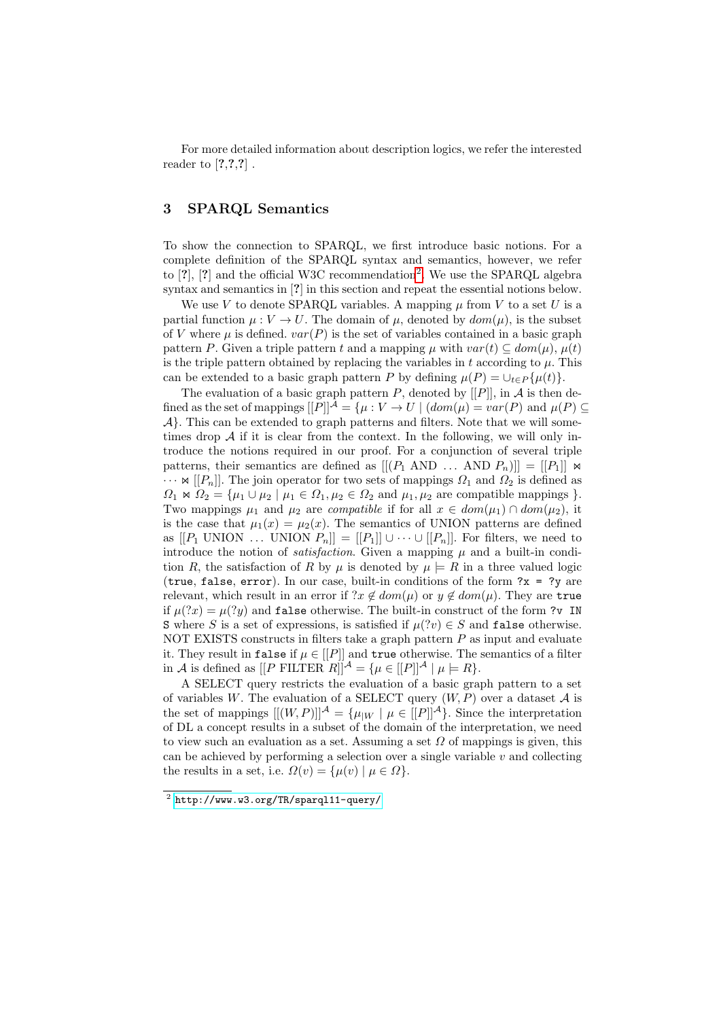For more detailed information about description logics, we refer the interested reader to  $[?,?,?]$ .

## 3 SPARQL Semantics

To show the connection to SPARQL, we first introduce basic notions. For a complete definition of the SPARQL syntax and semantics, however, we refer to  $[?]$ ,  $[?]$  and the official W3C recommendation<sup>[2](#page-7-0)</sup>. We use the SPARQL algebra syntax and semantics in [?] in this section and repeat the essential notions below.

We use V to denote SPARQL variables. A mapping  $\mu$  from V to a set U is a partial function  $\mu : V \to U$ . The domain of  $\mu$ , denoted by  $dom(\mu)$ , is the subset of V where  $\mu$  is defined.  $var(P)$  is the set of variables contained in a basic graph pattern P. Given a triple pattern t and a mapping  $\mu$  with  $var(t) \subseteq dom(\mu)$ ,  $\mu(t)$ is the triple pattern obtained by replacing the variables in  $t$  according to  $\mu$ . This can be extended to a basic graph pattern P by defining  $\mu(P) = \bigcup_{t \in P} {\mu(t)}$ .

The evaluation of a basic graph pattern  $P$ , denoted by  $[[P]],$  in  $A$  is then defined as the set of mappings  $[[P]]^{\mathcal{A}} = \{ \mu : V \to U \mid (dom(\mu) = var(P) \text{ and } \mu(P) \subseteq$  $\mathcal{A}$ . This can be extended to graph patterns and filters. Note that we will sometimes drop  $A$  if it is clear from the context. In the following, we will only introduce the notions required in our proof. For a conjunction of several triple patterns, their semantics are defined as  $[[ (P_1 \text{ AND } \dots \text{ AND } P_n)]] = [[P_1]] \bowtie$  $\cdots$   $\bowtie$  [[P<sub>n</sub>]]. The join operator for two sets of mappings  $\Omega_1$  and  $\Omega_2$  is defined as  $\Omega_1 \Join \Omega_2 = {\mu_1 \cup \mu_2 \mid \mu_1 \in \Omega_1, \mu_2 \in \Omega_2 \text{ and } \mu_1, \mu_2 \text{ are compatible mappings } }$ . Two mappings  $\mu_1$  and  $\mu_2$  are *compatible* if for all  $x \in dom(\mu_1) \cap dom(\mu_2)$ , it is the case that  $\mu_1(x) = \mu_2(x)$ . The semantics of UNION patterns are defined as  $[[P_1 \text{ UNION } \dots \text{ UNION } P_n]] = [[P_1]] \cup \dots \cup [[P_n]].$  For filters, we need to introduce the notion of *satisfaction*. Given a mapping  $\mu$  and a built-in condition R, the satisfaction of R by  $\mu$  is denoted by  $\mu \models R$  in a three valued logic (true, false, error). In our case, built-in conditions of the form  $?x = ?y$  are relevant, which result in an error if  $x \notin dom(\mu)$  or  $y \notin dom(\mu)$ . They are true if  $\mu(?x) = \mu(?y)$  and false otherwise. The built-in construct of the form ?v IN S where S is a set of expressions, is satisfied if  $\mu$ (?v)  $\in$  S and false otherwise. NOT EXISTS constructs in filters take a graph pattern  $P$  as input and evaluate it. They result in false if  $\mu \in [[P]]$  and true otherwise. The semantics of a filter in A is defined as  $[|P \text{ FILTER } R]|^{\mathcal{A}} = {\mu \in [P]}^{\mathcal{A}} | \mu \models R}.$ 

A SELECT query restricts the evaluation of a basic graph pattern to a set of variables W. The evaluation of a SELECT query  $(W, P)$  over a dataset A is the set of mappings  $[[(W, P)]^{\mathcal{A}} = {\mu_{|W} | \mu \in [P]}^{\mathcal{A}}$ . Since the interpretation of DL a concept results in a subset of the domain of the interpretation, we need to view such an evaluation as a set. Assuming a set  $\Omega$  of mappings is given, this can be achieved by performing a selection over a single variable  $v$  and collecting the results in a set, i.e.  $\Omega(v) = {\mu(v) | \mu \in \Omega}.$ 

<span id="page-7-0"></span> $^2$  <http://www.w3.org/TR/sparql11-query/>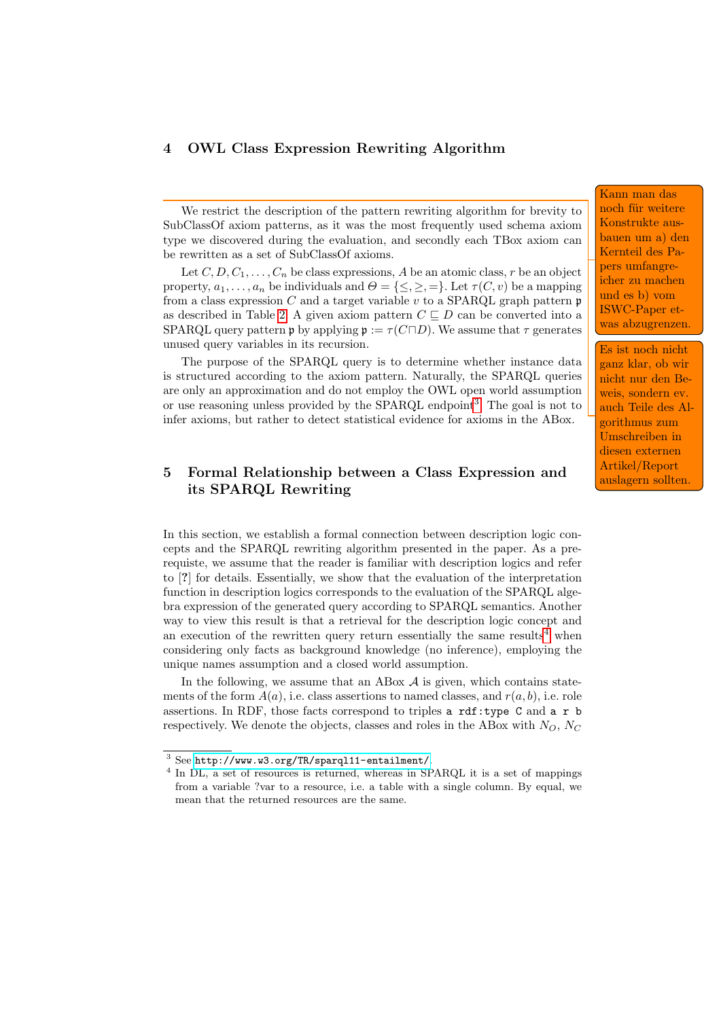## 4 OWL Class Expression Rewriting Algorithm

We restrict the description of the pattern rewriting algorithm for brevity to SubClassOf axiom patterns, as it was the most frequently used schema axiom type we discovered during the evaluation, and secondly each TBox axiom can be rewritten as a set of SubClassOf axioms.

Let  $C, D, C_1, \ldots, C_n$  be class expressions, A be an atomic class, r be an object property,  $a_1, \ldots, a_n$  be individuals and  $\Theta = \{\leq,\geq,=\}\.$  Let  $\tau(C, v)$  be a mapping from a class expression  $C$  and a target variable  $v$  to a SPARQL graph pattern  $\mathfrak p$ as described in Table [2.](#page-9-0) A given axiom pattern  $C \sqsubset D$  can be converted into a SPARQL query pattern p by applying  $\mathfrak{p} := \tau(C \sqcap D)$ . We assume that  $\tau$  generates unused query variables in its recursion.

The purpose of the SPARQL query is to determine whether instance data is structured according to the axiom pattern. Naturally, the SPARQL queries are only an approximation and do not employ the OWL open world assumption or use reasoning unless provided by the SPARQL endpoint<sup>[3](#page-8-0)</sup>. The goal is not to infer axioms, but rather to detect statistical evidence for axioms in the ABox.

## 5 Formal Relationship between a Class Expression and its SPARQL Rewriting

In this section, we establish a formal connection between description logic concepts and the SPARQL rewriting algorithm presented in the paper. As a prerequiste, we assume that the reader is familiar with description logics and refer to [?] for details. Essentially, we show that the evaluation of the interpretation function in description logics corresponds to the evaluation of the SPARQL algebra expression of the generated query according to SPARQL semantics. Another way to view this result is that a retrieval for the description logic concept and an execution of the rewritten query return essentially the same results<sup>[4](#page-8-1)</sup> when considering only facts as background knowledge (no inference), employing the unique names assumption and a closed world assumption.

In the following, we assume that an ABox  $A$  is given, which contains statements of the form  $A(a)$ , i.e. class assertions to named classes, and  $r(a, b)$ , i.e. role assertions. In RDF, those facts correspond to triples a rdf:type C and a r b respectively. We denote the objects, classes and roles in the ABox with  $N_O$ ,  $N_C$ 

Kann man das noch für weitere Konstrukte ausbauen um a) den Kernteil des Papers umfangreicher zu machen und es b) vom ISWC-Paper etwas abzugrenzen.

Es ist noch nicht ganz klar, ob wir nicht nur den Beweis, sondern ev. auch Teile des Algorithmus zum Umschreiben in diesen externen Artikel/Report auslagern sollten.

<span id="page-8-0"></span> $^3$  See <http://www.w3.org/TR/sparql11-entailment/>.

<span id="page-8-1"></span><sup>&</sup>lt;sup>4</sup> In DL, a set of resources is returned, whereas in SPARQL it is a set of mappings from a variable ?var to a resource, i.e. a table with a single column. By equal, we mean that the returned resources are the same.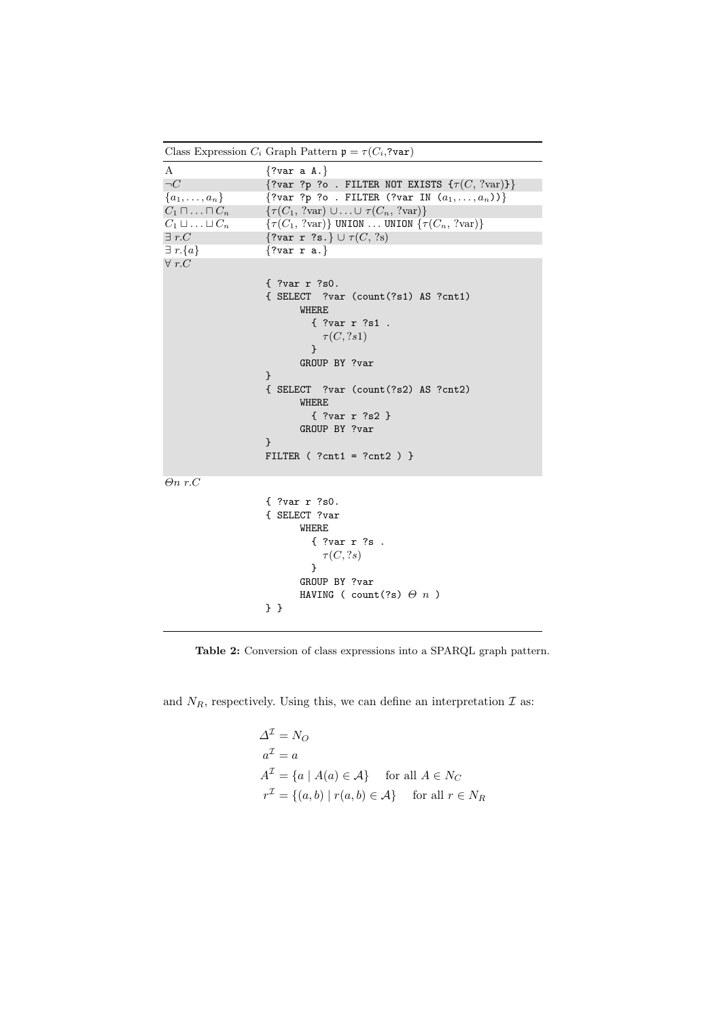<span id="page-9-0"></span>

Table 2: Conversion of class expressions into a SPARQL graph pattern.

and  $N_R$ , respectively. Using this, we can define an interpretation  $\mathcal I$  as:

$$
\Delta^{\mathcal{I}} = N_O
$$
  
\n
$$
a^{\mathcal{I}} = a
$$
  
\n
$$
A^{\mathcal{I}} = \{a \mid A(a) \in \mathcal{A}\} \text{ for all } A \in N_C
$$
  
\n
$$
r^{\mathcal{I}} = \{(a, b) \mid r(a, b) \in \mathcal{A}\} \text{ for all } r \in N_R
$$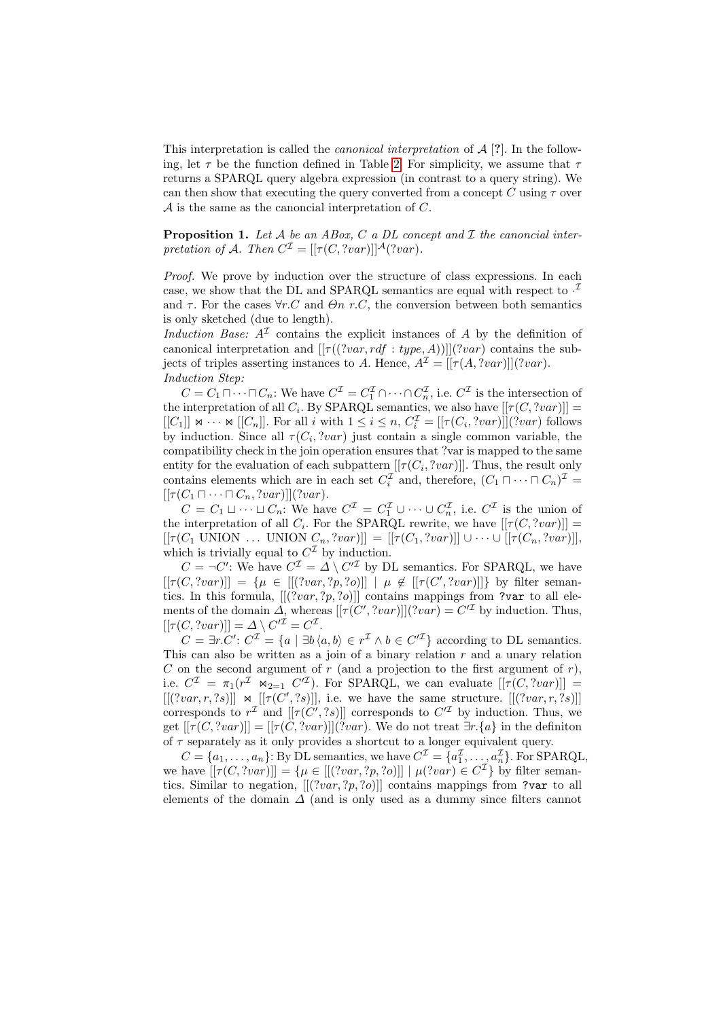This interpretation is called the *canonical interpretation* of  $A$  [?]. In the following, let  $\tau$  be the function defined in Table [2.](#page-9-0) For simplicity, we assume that  $\tau$ returns a SPARQL query algebra expression (in contrast to a query string). We can then show that executing the query converted from a concept C using  $\tau$  over  $\mathcal A$  is the same as the canoncial interpretation of  $C$ .

**Proposition 1.** Let  $A$  be an ABox,  $C$  a DL concept and  $\mathcal I$  the canoncial interpretation of A. Then  $C^{I} = [[\tau(C, 'var)]]^{A} ('var).$ 

Proof. We prove by induction over the structure of class expressions. In each case, we show that the DL and SPARQL semantics are equal with respect to  $\cdot^2$ and  $\tau$ . For the cases  $\forall r.C$  and  $\Theta$ n r.C, the conversion between both semantics is only sketched (due to length).

Induction Base:  $A<sup>\mathcal{I}</sup>$  contains the explicit instances of A by the definition of canonical interpretation and  $[[\tau((?var, rdf : type, A))]](?var)$  contains the subjects of triples asserting instances to A. Hence,  $A^{\mathcal{I}} = [[\tau(A, ?var)]](?var)$ . Induction Step:

 $C = C_1 \sqcap \cdots \sqcap C_n$ : We have  $C^{\mathcal{I}} = C_1^{\mathcal{I}} \cap \cdots \cap C_n^{\mathcal{I}}$ , i.e.  $C^{\mathcal{I}}$  is the intersection of the interpretation of all  $C_i$ . By SPARQL semantics, we also have  $[[\tau(C, 'var)]] =$  $[[C_1]] \Join \cdots \Join [[C_n]]$ . For all i with  $1 \leq i \leq n$ ,  $C_i^{\mathcal{I}} = [[\tau(C_i, ?var)]](?var)$  follows by induction. Since all  $\tau(C_i, 'var)$  just contain a single common variable, the compatibility check in the join operation ensures that ?var is mapped to the same entity for the evaluation of each subpattern  $[[\tau(C_i, 'var)]]$ . Thus, the result only contains elements which are in each set  $C_i^{\mathcal{I}}$  and, therefore,  $(C_1 \sqcap \cdots \sqcap C_n)^{\mathcal{I}} =$  $[[\tau(C_1 \sqcap \cdots \sqcap C_n, ?var)]](?var).$ 

 $C = C_1 \sqcup \cdots \sqcup C_n$ : We have  $C^{\mathcal{I}} = C_1^{\mathcal{I}} \cup \cdots \cup C_n^{\mathcal{I}}$ , i.e.  $C^{\mathcal{I}}$  is the union of the interpretation of all  $C_i$ . For the SPARQL rewrite, we have  $[[\tau(C, 'var)]] =$  $[[\tau(C_1 \text{ UNION } \dots \text{ UNION } C_n, ?var]]] = [[\tau(C_1, ?var)]] \cup \dots \cup [[\tau(C_n, ?var)]],$ which is trivially equal to  $C^{\mathcal{I}}$  by induction.

 $C = \neg C'$ : We have  $C^{\mathcal{I}} = \Delta \setminus C'^{\mathcal{I}}$  by DL semantics. For SPARQL, we have  $[[\tau(C, 'var)]] = {\mu \in [[('var, ?p, ?o)]] | \mu \notin [[\tau(C', 'var)]]}$  by filter semantics. In this formula,  $[[?var, ?p, ?o]]$  contains mappings from ?var to all elements of the domain  $\Delta$ , whereas  $[[\tau(C', ?var)]](?var) = C'^{\mathcal{I}}$  by induction. Thus,  $[[\tau(C, ?var)]] = \Delta \setminus C'^{\mathcal{I}} = C^{\mathcal{I}}.$ 

 $C = \exists r.C': C^{\mathcal{I}} = \{a \mid \exists b \langle a, b \rangle \in r^{\mathcal{I}} \land b \in C^{\prime \mathcal{I}}\}$  according to DL semantics. This can also be written as a join of a binary relation  $r$  and a unary relation C on the second argument of r (and a projection to the first argument of r), i.e.  $C^{\mathcal{I}} = \pi_1(r^{\mathcal{I}} \Join_{2=1} C'^{\mathcal{I}})$ . For SPARQL, we can evaluate  $[[\tau(C, 'var)]] =$  $[[(?var, r, ?s)]] \cong [[\tau(C', ?s)]]$ , i.e. we have the same structure.  $[[(?var, r, ?s)]]$ corresponds to  $r^{\mathcal{I}}$  and  $[[\tau(C', ?s)]]$  corresponds to  $C'^{\mathcal{I}}$  by induction. Thus, we get  $[[\tau(C, 'var)][ = [[\tau(C, 'var)]['var])$ . We do not treat  $\exists r.\{a\}$  in the definiton of  $\tau$  separately as it only provides a shortcut to a longer equivalent query.

 $C = \{a_1, \ldots, a_n\}$ : By DL semantics, we have  $C^{\mathcal{I}} = \{a_1^{\mathcal{I}}, \ldots, a_n^{\mathcal{I}}\}$ . For SPARQL, we have  $[[\tau(C, 'var)]] = {\mu \in [[('var, 'p, 'o)]] \mid \mu('var) \in C^{\mathcal{I}}}\$  by filter semantics. Similar to negation,  $[[(?var, ?p, ?o)]]$  contains mappings from ?var to all elements of the domain  $\Delta$  (and is only used as a dummy since filters cannot